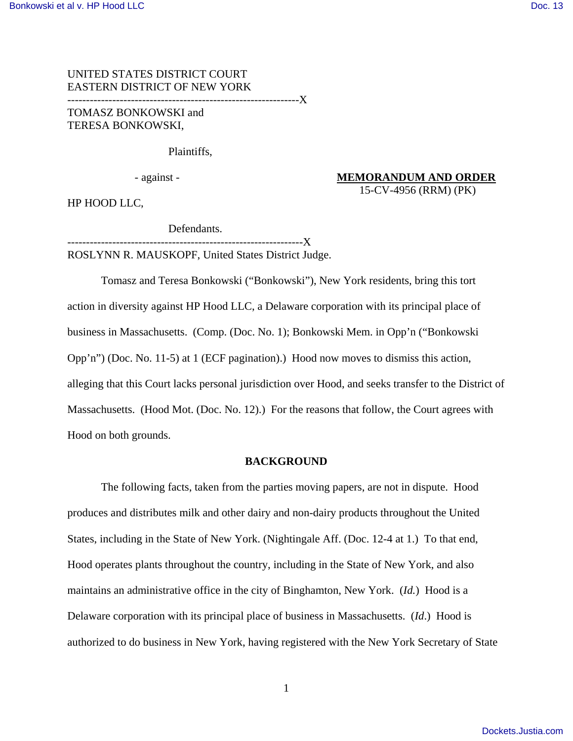UNITED STATES DISTRICT COURT EASTERN DISTRICT OF NEW YORK --------------------------------------------------------------X TOMASZ BONKOWSKI and

TERESA BONKOWSKI,

Plaintiffs,

 - against - **MEMORANDUM AND ORDER** 15-CV-4956 (RRM) (PK)

HP HOOD LLC,

 Defendants. ---------------X

ROSLYNN R. MAUSKOPF, United States District Judge.

 Tomasz and Teresa Bonkowski ("Bonkowski"), New York residents, bring this tort action in diversity against HP Hood LLC, a Delaware corporation with its principal place of business in Massachusetts. (Comp. (Doc. No. 1); Bonkowski Mem. in Opp'n ("Bonkowski Opp'n") (Doc. No. 11-5) at 1 (ECF pagination).) Hood now moves to dismiss this action, alleging that this Court lacks personal jurisdiction over Hood, and seeks transfer to the District of Massachusetts. (Hood Mot. (Doc. No. 12).) For the reasons that follow, the Court agrees with Hood on both grounds.

#### **BACKGROUND**

 The following facts, taken from the parties moving papers, are not in dispute. Hood produces and distributes milk and other dairy and non-dairy products throughout the United States, including in the State of New York. (Nightingale Aff. (Doc. 12-4 at 1.) To that end, Hood operates plants throughout the country, including in the State of New York, and also maintains an administrative office in the city of Binghamton, New York. (*Id.*) Hood is a Delaware corporation with its principal place of business in Massachusetts. (*Id*.) Hood is authorized to do business in New York, having registered with the New York Secretary of State

1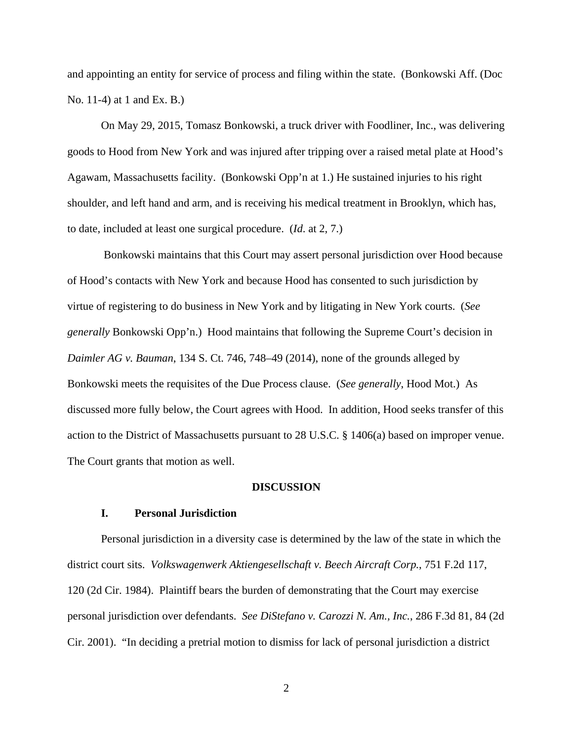and appointing an entity for service of process and filing within the state. (Bonkowski Aff. (Doc No. 11-4) at 1 and Ex. B.)

 On May 29, 2015, Tomasz Bonkowski, a truck driver with Foodliner, Inc., was delivering goods to Hood from New York and was injured after tripping over a raised metal plate at Hood's Agawam, Massachusetts facility. (Bonkowski Opp'n at 1.) He sustained injuries to his right shoulder, and left hand and arm, and is receiving his medical treatment in Brooklyn, which has, to date, included at least one surgical procedure. (*Id*. at 2, 7.)

 Bonkowski maintains that this Court may assert personal jurisdiction over Hood because of Hood's contacts with New York and because Hood has consented to such jurisdiction by virtue of registering to do business in New York and by litigating in New York courts. (*See generally* Bonkowski Opp'n.) Hood maintains that following the Supreme Court's decision in *Daimler AG v. Bauman*, 134 S. Ct. 746, 748–49 (2014), none of the grounds alleged by Bonkowski meets the requisites of the Due Process clause. (*See generally*, Hood Mot.) As discussed more fully below, the Court agrees with Hood. In addition, Hood seeks transfer of this action to the District of Massachusetts pursuant to 28 U.S.C. § 1406(a) based on improper venue. The Court grants that motion as well.

#### **DISCUSSION**

### **I. Personal Jurisdiction**

Personal jurisdiction in a diversity case is determined by the law of the state in which the district court sits. *Volkswagenwerk Aktiengesellschaft v. Beech Aircraft Corp.*, 751 F.2d 117, 120 (2d Cir. 1984). Plaintiff bears the burden of demonstrating that the Court may exercise personal jurisdiction over defendants. *See DiStefano v. Carozzi N. Am., Inc.*, 286 F.3d 81, 84 (2d Cir. 2001). "In deciding a pretrial motion to dismiss for lack of personal jurisdiction a district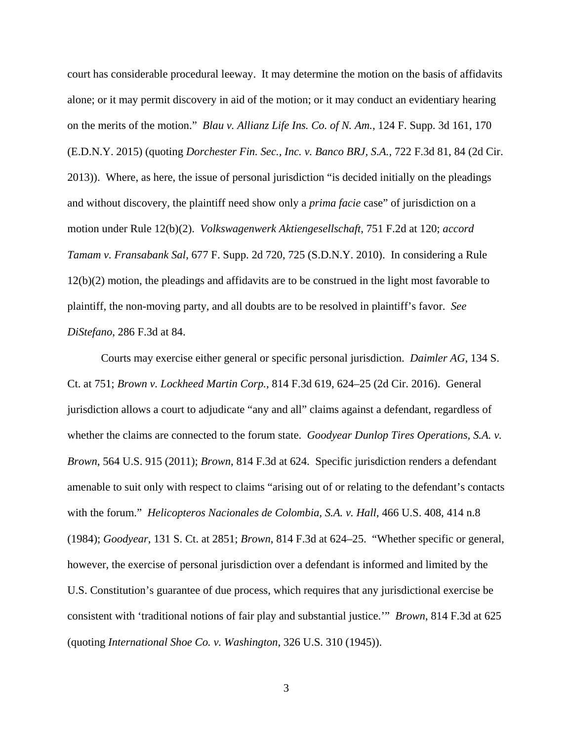court has considerable procedural leeway. It may determine the motion on the basis of affidavits alone; or it may permit discovery in aid of the motion; or it may conduct an evidentiary hearing on the merits of the motion." *Blau v. Allianz Life Ins. Co. of N. Am.*, 124 F. Supp. 3d 161, 170 (E.D.N.Y. 2015) (quoting *Dorchester Fin. Sec., Inc. v. Banco BRJ, S.A.*, 722 F.3d 81, 84 (2d Cir. 2013)). Where, as here, the issue of personal jurisdiction "is decided initially on the pleadings and without discovery, the plaintiff need show only a *prima facie* case" of jurisdiction on a motion under Rule 12(b)(2). *Volkswagenwerk Aktiengesellschaft*, 751 F.2d at 120; *accord Tamam v. Fransabank Sal*, 677 F. Supp. 2d 720, 725 (S.D.N.Y. 2010). In considering a Rule 12(b)(2) motion, the pleadings and affidavits are to be construed in the light most favorable to plaintiff, the non-moving party, and all doubts are to be resolved in plaintiff's favor. *See DiStefano*, 286 F.3d at 84.

Courts may exercise either general or specific personal jurisdiction. *Daimler AG*, 134 S. Ct. at 751; *Brown v. Lockheed Martin Corp.*, 814 F.3d 619, 624–25 (2d Cir. 2016). General jurisdiction allows a court to adjudicate "any and all" claims against a defendant, regardless of whether the claims are connected to the forum state. *Goodyear Dunlop Tires Operations, S.A. v. Brown*, 564 U.S. 915 (2011); *Brown*, 814 F.3d at 624. Specific jurisdiction renders a defendant amenable to suit only with respect to claims "arising out of or relating to the defendant's contacts with the forum." *Helicopteros Nacionales de Colombia, S.A. v. Hall*, 466 U.S. 408, 414 n.8 (1984); *Goodyear*, 131 S. Ct. at 2851; *Brown*, 814 F.3d at 624–25. "Whether specific or general, however, the exercise of personal jurisdiction over a defendant is informed and limited by the U.S. Constitution's guarantee of due process, which requires that any jurisdictional exercise be consistent with 'traditional notions of fair play and substantial justice.'" *Brown*, 814 F.3d at 625 (quoting *International Shoe Co. v. Washington*, 326 U.S. 310 (1945)).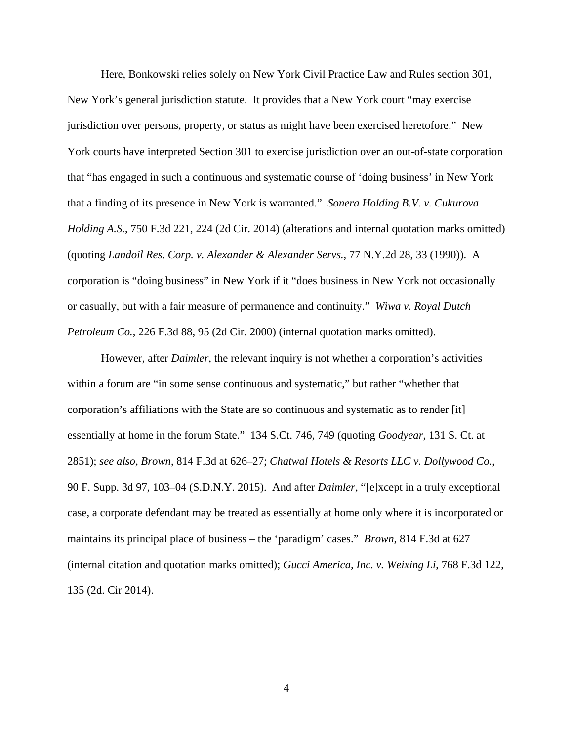Here, Bonkowski relies solely on New York Civil Practice Law and Rules section 301, New York's general jurisdiction statute. It provides that a New York court "may exercise jurisdiction over persons, property, or status as might have been exercised heretofore." New York courts have interpreted Section 301 to exercise jurisdiction over an out-of-state corporation that "has engaged in such a continuous and systematic course of 'doing business' in New York that a finding of its presence in New York is warranted." *Sonera Holding B.V. v. Cukurova Holding A.S.*, 750 F.3d 221, 224 (2d Cir. 2014) (alterations and internal quotation marks omitted) (quoting *Landoil Res. Corp. v. Alexander & Alexander Servs.*, 77 N.Y.2d 28, 33 (1990)). A corporation is "doing business" in New York if it "does business in New York not occasionally or casually, but with a fair measure of permanence and continuity." *Wiwa v. Royal Dutch Petroleum Co.*, 226 F.3d 88, 95 (2d Cir. 2000) (internal quotation marks omitted).

However, after *Daimler*, the relevant inquiry is not whether a corporation's activities within a forum are "in some sense continuous and systematic," but rather "whether that corporation's affiliations with the State are so continuous and systematic as to render [it] essentially at home in the forum State." 134 S.Ct. 746, 749 (quoting *Goodyear*, 131 S. Ct. at 2851); *see also, Brown*, 814 F.3d at 626–27; *Chatwal Hotels & Resorts LLC v. Dollywood Co.*, 90 F. Supp. 3d 97, 103–04 (S.D.N.Y. 2015).And after *Daimler*, "[e]xcept in a truly exceptional case, a corporate defendant may be treated as essentially at home only where it is incorporated or maintains its principal place of business – the 'paradigm' cases." *Brown*, 814 F.3d at 627 (internal citation and quotation marks omitted); *Gucci America, Inc. v. Weixing Li*, 768 F.3d 122, 135 (2d. Cir 2014).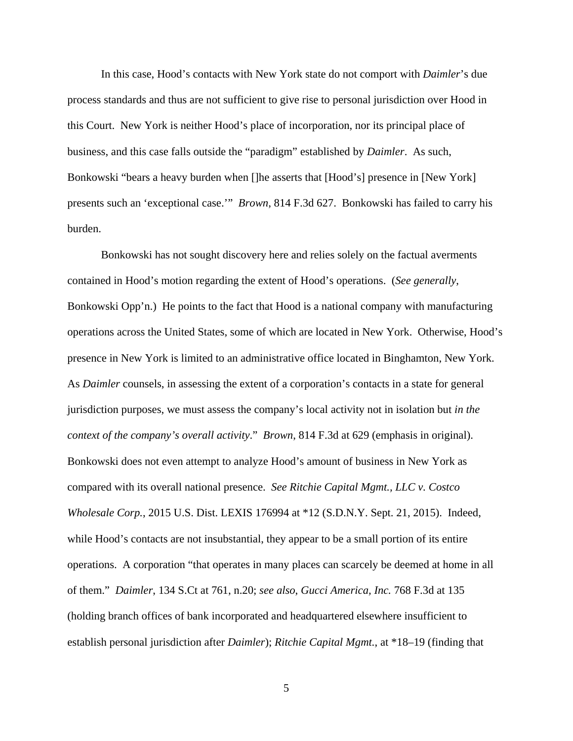In this case, Hood's contacts with New York state do not comport with *Daimler*'s due process standards and thus are not sufficient to give rise to personal jurisdiction over Hood in this Court. New York is neither Hood's place of incorporation, nor its principal place of business, and this case falls outside the "paradigm" established by *Daimler*. As such, Bonkowski "bears a heavy burden when []he asserts that [Hood's] presence in [New York] presents such an 'exceptional case.'" *Brown*, 814 F.3d 627. Bonkowski has failed to carry his burden.

Bonkowski has not sought discovery here and relies solely on the factual averments contained in Hood's motion regarding the extent of Hood's operations. (*See generally*, Bonkowski Opp'n.) He points to the fact that Hood is a national company with manufacturing operations across the United States, some of which are located in New York. Otherwise, Hood's presence in New York is limited to an administrative office located in Binghamton, New York. As *Daimler* counsels, in assessing the extent of a corporation's contacts in a state for general jurisdiction purposes, we must assess the company's local activity not in isolation but *in the context of the company's overall activity*." *Brown*, 814 F.3d at 629 (emphasis in original). Bonkowski does not even attempt to analyze Hood's amount of business in New York as compared with its overall national presence. *See Ritchie Capital Mgmt., LLC v. Costco Wholesale Corp.*, 2015 U.S. Dist. LEXIS 176994 at \*12 (S.D.N.Y. Sept. 21, 2015). Indeed, while Hood's contacts are not insubstantial, they appear to be a small portion of its entire operations. A corporation "that operates in many places can scarcely be deemed at home in all of them." *Daimler*, 134 S.Ct at 761, n.20; *see also*, *Gucci America, Inc.* 768 F.3d at 135 (holding branch offices of bank incorporated and headquartered elsewhere insufficient to establish personal jurisdiction after *Daimler*); *Ritchie Capital Mgmt.*, at \*18–19 (finding that

5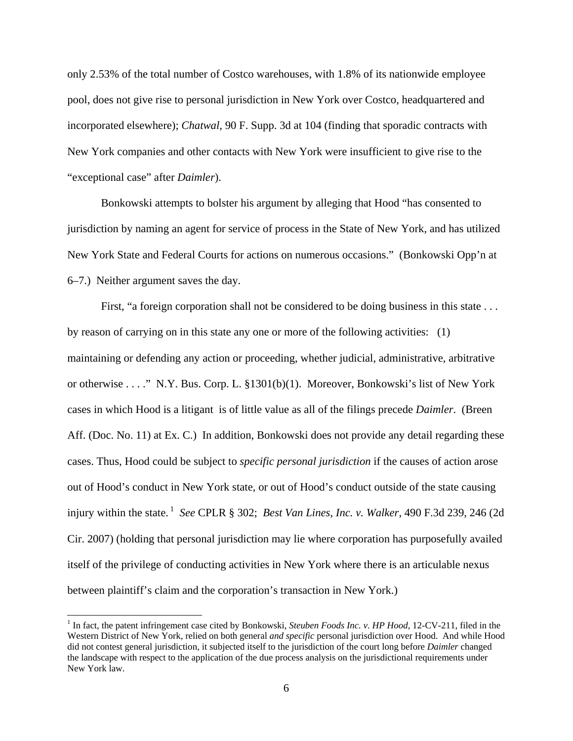only 2.53% of the total number of Costco warehouses, with 1.8% of its nationwide employee pool, does not give rise to personal jurisdiction in New York over Costco, headquartered and incorporated elsewhere); *Chatwal*, 90 F. Supp. 3d at 104 (finding that sporadic contracts with New York companies and other contacts with New York were insufficient to give rise to the "exceptional case" after *Daimler*).

Bonkowski attempts to bolster his argument by alleging that Hood "has consented to jurisdiction by naming an agent for service of process in the State of New York, and has utilized New York State and Federal Courts for actions on numerous occasions." (Bonkowski Opp'n at 6–7.) Neither argument saves the day.

First, "a foreign corporation shall not be considered to be doing business in this state . . . by reason of carrying on in this state any one or more of the following activities: (1) maintaining or defending any action or proceeding, whether judicial, administrative, arbitrative or otherwise . . . ." N.Y. Bus. Corp. L. §1301(b)(1). Moreover, Bonkowski's list of New York cases in which Hood is a litigant is of little value as all of the filings precede *Daimler*. (Breen Aff. (Doc. No. 11) at Ex. C.) In addition, Bonkowski does not provide any detail regarding these cases. Thus, Hood could be subject to *specific personal jurisdiction* if the causes of action arose out of Hood's conduct in New York state, or out of Hood's conduct outside of the state causing injury within the state.<sup>1</sup> *See* CPLR § 302; *Best Van Lines, Inc. v. Walker*, 490 F.3d 239, 246 (2d Cir. 2007) (holding that personal jurisdiction may lie where corporation has purposefully availed itself of the privilege of conducting activities in New York where there is an articulable nexus between plaintiff's claim and the corporation's transaction in New York.)

 $\overline{a}$ 

<sup>&</sup>lt;sup>1</sup> In fact, the patent infringement case cited by Bonkowski, *Steuben Foods Inc. v. HP Hood*, 12-CV-211, filed in the Western District of New York, relied on both general *and specific* personal jurisdiction over Hood. And while Hood did not contest general jurisdiction, it subjected itself to the jurisdiction of the court long before *Daimler* changed the landscape with respect to the application of the due process analysis on the jurisdictional requirements under New York law.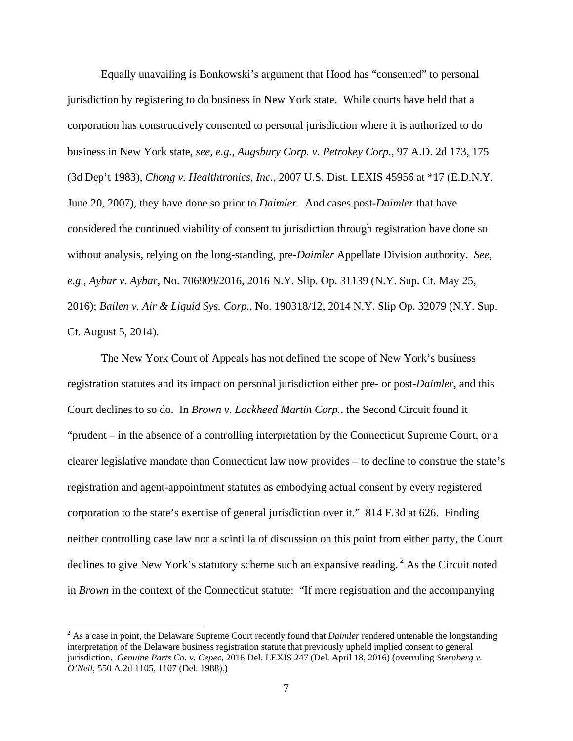Equally unavailing is Bonkowski's argument that Hood has "consented" to personal jurisdiction by registering to do business in New York state. While courts have held that a corporation has constructively consented to personal jurisdiction where it is authorized to do business in New York state, *see, e.g.*, *Augsbury Corp. v. Petrokey Corp*., 97 A.D. 2d 173, 175 (3d Dep't 1983), *Chong v. Healthtronics, Inc.*, 2007 U.S. Dist. LEXIS 45956 at \*17 (E.D.N.Y. June 20, 2007), they have done so prior to *Daimler*. And cases post-*Daimler* that have considered the continued viability of consent to jurisdiction through registration have done so without analysis, relying on the long-standing, pre-*Daimler* Appellate Division authority. *See, e.g.*, *Aybar v. Aybar*, No. 706909/2016, 2016 N.Y. Slip. Op. 31139 (N.Y. Sup. Ct. May 25, 2016); *Bailen v. Air & Liquid Sys. Corp.*, No. 190318/12, 2014 N.Y. Slip Op. 32079 (N.Y. Sup. Ct. August 5, 2014).

The New York Court of Appeals has not defined the scope of New York's business registration statutes and its impact on personal jurisdiction either pre- or post-*Daimler*, and this Court declines to so do. In *Brown v. Lockheed Martin Corp.*, the Second Circuit found it "prudent – in the absence of a controlling interpretation by the Connecticut Supreme Court, or a clearer legislative mandate than Connecticut law now provides – to decline to construe the state's registration and agent-appointment statutes as embodying actual consent by every registered corporation to the state's exercise of general jurisdiction over it." 814 F.3d at 626. Finding neither controlling case law nor a scintilla of discussion on this point from either party, the Court declines to give New York's statutory scheme such an expansive reading.<sup>2</sup> As the Circuit noted in *Brown* in the context of the Connecticut statute: "If mere registration and the accompanying

<sup>&</sup>lt;sup>2</sup> As a case in point, the Delaware Supreme Court recently found that *Daimler* rendered untenable the longstanding interpretation of the Delaware business registration statute that previously upheld implied consent to general jurisdiction. *Genuine Parts Co. v. Cepec*, 2016 Del. LEXIS 247 (Del. April 18, 2016) (overruling *Sternberg v. O'Neil*, 550 A.2d 1105, 1107 (Del. 1988).)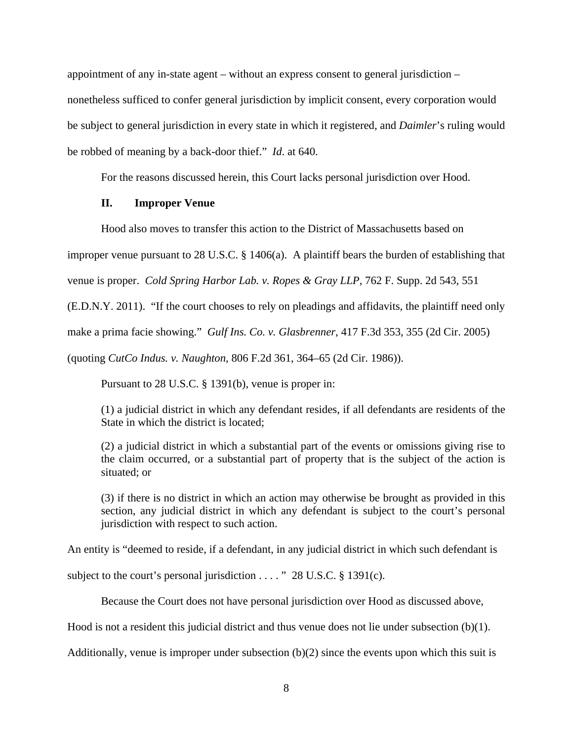appointment of any in-state agent – without an express consent to general jurisdiction – nonetheless sufficed to confer general jurisdiction by implicit consent, every corporation would be subject to general jurisdiction in every state in which it registered, and *Daimler*'s ruling would be robbed of meaning by a back-door thief." *Id*. at 640.

For the reasons discussed herein, this Court lacks personal jurisdiction over Hood.

## **II. Improper Venue**

Hood also moves to transfer this action to the District of Massachusetts based on

improper venue pursuant to 28 U.S.C. § 1406(a). A plaintiff bears the burden of establishing that

venue is proper. *Cold Spring Harbor Lab. v. Ropes & Gray LLP*, 762 F. Supp. 2d 543, 551

(E.D.N.Y. 2011). "If the court chooses to rely on pleadings and affidavits, the plaintiff need only

make a prima facie showing." *Gulf Ins. Co. v. Glasbrenner*, 417 F.3d 353, 355 (2d Cir. 2005)

(quoting *CutCo Indus. v. Naughton*, 806 F.2d 361, 364–65 (2d Cir. 1986)).

Pursuant to 28 U.S.C. § 1391(b), venue is proper in:

(1) a judicial district in which any defendant resides, if all defendants are residents of the State in which the district is located;

(2) a judicial district in which a substantial part of the events or omissions giving rise to the claim occurred, or a substantial part of property that is the subject of the action is situated; or

(3) if there is no district in which an action may otherwise be brought as provided in this section, any judicial district in which any defendant is subject to the court's personal jurisdiction with respect to such action.

An entity is "deemed to reside, if a defendant, in any judicial district in which such defendant is

subject to the court's personal jurisdiction . . . . " 28 U.S.C. § 1391(c).

Because the Court does not have personal jurisdiction over Hood as discussed above,

Hood is not a resident this judicial district and thus venue does not lie under subsection (b)(1).

Additionally, venue is improper under subsection (b)(2) since the events upon which this suit is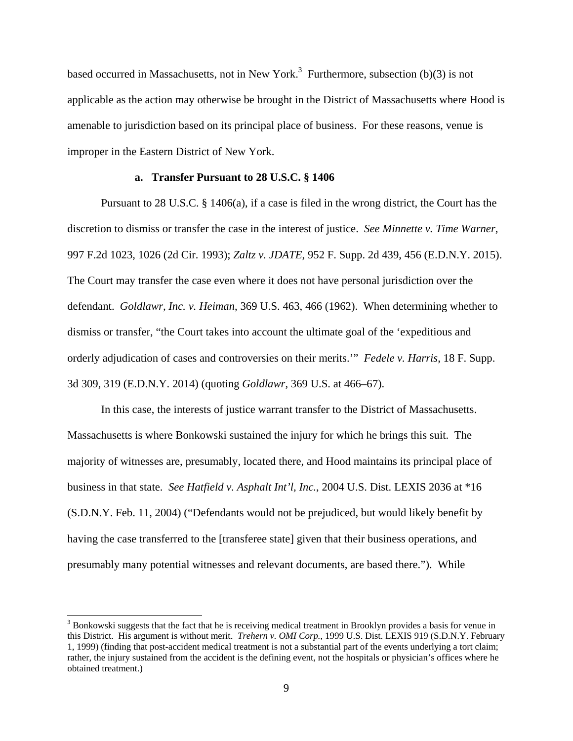based occurred in Massachusetts, not in New York.<sup>3</sup> Furthermore, subsection (b)(3) is not applicable as the action may otherwise be brought in the District of Massachusetts where Hood is amenable to jurisdiction based on its principal place of business. For these reasons, venue is improper in the Eastern District of New York.

# **a. Transfer Pursuant to 28 U.S.C. § 1406**

Pursuant to 28 U.S.C. § 1406(a), if a case is filed in the wrong district, the Court has the discretion to dismiss or transfer the case in the interest of justice. *See Minnette v. Time Warner*, 997 F.2d 1023, 1026 (2d Cir. 1993); *Zaltz v. JDATE*, 952 F. Supp. 2d 439, 456 (E.D.N.Y. 2015). The Court may transfer the case even where it does not have personal jurisdiction over the defendant. *Goldlawr, Inc. v. Heiman*, 369 U.S. 463, 466 (1962). When determining whether to dismiss or transfer, "the Court takes into account the ultimate goal of the 'expeditious and orderly adjudication of cases and controversies on their merits.'" *Fedele v. Harris*, 18 F. Supp. 3d 309, 319 (E.D.N.Y. 2014) (quoting *Goldlawr*, 369 U.S. at 466–67).

 In this case, the interests of justice warrant transfer to the District of Massachusetts. Massachusetts is where Bonkowski sustained the injury for which he brings this suit. The majority of witnesses are, presumably, located there, and Hood maintains its principal place of business in that state. *See Hatfield v. Asphalt Int'l, Inc.*, 2004 U.S. Dist. LEXIS 2036 at \*16 (S.D.N.Y. Feb. 11, 2004) ("Defendants would not be prejudiced, but would likely benefit by having the case transferred to the [transferee state] given that their business operations, and presumably many potential witnesses and relevant documents, are based there."). While

-

<sup>&</sup>lt;sup>3</sup> Bonkowski suggests that the fact that he is receiving medical treatment in Brooklyn provides a basis for venue in this District. His argument is without merit. *Trehern v. OMI Corp.*, 1999 U.S. Dist. LEXIS 919 (S.D.N.Y. February 1, 1999) (finding that post-accident medical treatment is not a substantial part of the events underlying a tort claim; rather, the injury sustained from the accident is the defining event, not the hospitals or physician's offices where he obtained treatment.)